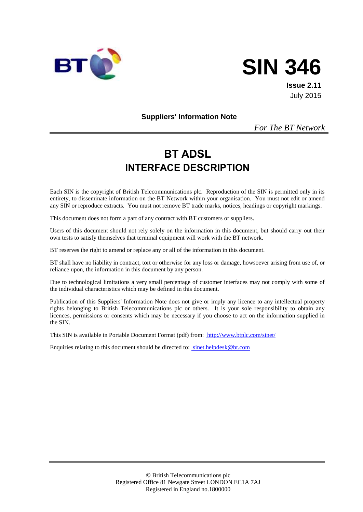



**Issue 2.11** July 2015

**Suppliers' Information Note**

*For The BT Network*

# **BT ADSL INTERFACE DESCRIPTION**

Each SIN is the copyright of British Telecommunications plc. Reproduction of the SIN is permitted only in its entirety, to disseminate information on the BT Network within your organisation. You must not edit or amend any SIN or reproduce extracts. You must not remove BT trade marks, notices, headings or copyright markings.

This document does not form a part of any contract with BT customers or suppliers.

Users of this document should not rely solely on the information in this document, but should carry out their own tests to satisfy themselves that terminal equipment will work with the BT network.

BT reserves the right to amend or replace any or all of the information in this document.

BT shall have no liability in contract, tort or otherwise for any loss or damage, howsoever arising from use of, or reliance upon, the information in this document by any person.

Due to technological limitations a very small percentage of customer interfaces may not comply with some of the individual characteristics which may be defined in this document.

Publication of this Suppliers' Information Note does not give or imply any licence to any intellectual property rights belonging to British Telecommunications plc or others. It is your sole responsibility to obtain any licences, permissions or consents which may be necessary if you choose to act on the information supplied in the SIN.

This SIN is available in Portable Document Format (pdf) from: http://www.btplc.com/sinet/

Enquiries relating to this document should be directed to: sinet.helpdesk@bt.com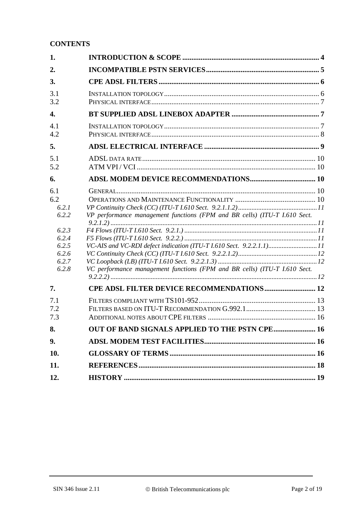## **CONTENTS**

| 1.                                                                                 |                                                                                                                                                        |  |
|------------------------------------------------------------------------------------|--------------------------------------------------------------------------------------------------------------------------------------------------------|--|
| 2.                                                                                 |                                                                                                                                                        |  |
| 3.                                                                                 |                                                                                                                                                        |  |
| 3.1<br>3.2                                                                         |                                                                                                                                                        |  |
| 4.                                                                                 |                                                                                                                                                        |  |
| 4.1<br>4.2                                                                         |                                                                                                                                                        |  |
| 5.                                                                                 |                                                                                                                                                        |  |
| 5.1<br>5.2                                                                         |                                                                                                                                                        |  |
| 6.                                                                                 |                                                                                                                                                        |  |
| 6.1<br>6.2<br>6.2.1<br>6.2.2<br>6.2.3<br>6.2.4<br>6.2.5<br>6.2.6<br>6.2.7<br>6.2.8 | VP performance management functions (FPM and BR cells) (ITU-T I.610 Sect.<br>VC performance management functions (FPM and BR cells) (ITU-T I.610 Sect. |  |
| 7.                                                                                 | <b>CPE ADSL FILTER DEVICE RECOMMENDATIONS 12</b>                                                                                                       |  |
| 7.1<br>7.2<br>7.3                                                                  |                                                                                                                                                        |  |
| 8.                                                                                 | OUT OF BAND SIGNALS APPLIED TO THE PSTN CPE 16                                                                                                         |  |
| 9.                                                                                 |                                                                                                                                                        |  |
| 10.                                                                                |                                                                                                                                                        |  |
| 11.                                                                                |                                                                                                                                                        |  |
| 12.                                                                                |                                                                                                                                                        |  |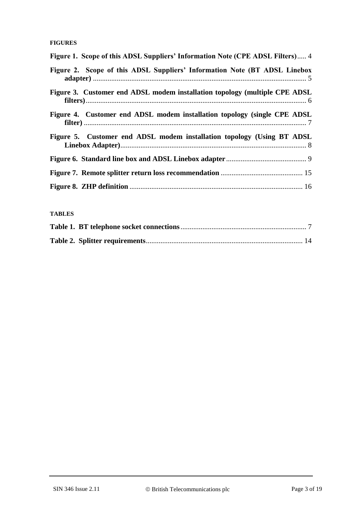#### **FIGURES**

| Figure 1. Scope of this ADSL Suppliers' Information Note (CPE ADSL Filters) 4 |
|-------------------------------------------------------------------------------|
| Figure 2. Scope of this ADSL Suppliers' Information Note (BT ADSL Linebox     |
| Figure 3. Customer end ADSL modem installation topology (multiple CPE ADSL    |
| Figure 4. Customer end ADSL modem installation topology (single CPE ADSL)     |
| Figure 5. Customer end ADSL modem installation topology (Using BT ADSL        |
|                                                                               |
|                                                                               |
|                                                                               |

#### **TABLES**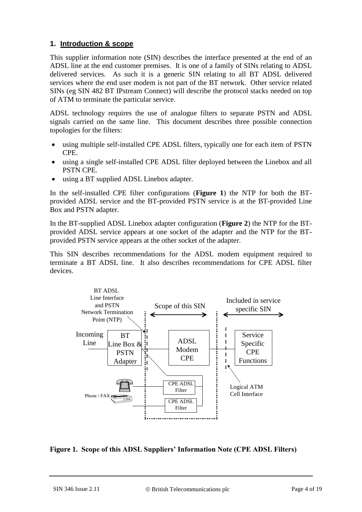## **1. Introduction & scope**

This supplier information note (SIN) describes the interface presented at the end of an ADSL line at the end customer premises. It is one of a family of SINs relating to ADSL delivered services. As such it is a generic SIN relating to all BT ADSL delivered services where the end user modem is not part of the BT network. Other service related SINs (eg SIN 482 BT IPstream Connect) will describe the protocol stacks needed on top of ATM to terminate the particular service.

ADSL technology requires the use of analogue filters to separate PSTN and ADSL signals carried on the same line. This document describes three possible connection topologies for the filters:

- using multiple self-installed CPE ADSL filters, typically one for each item of PSTN CPE.
- using a single self-installed CPE ADSL filter deployed between the Linebox and all PSTN CPE.
- using a BT supplied ADSL Linebox adapter.

In the self-installed CPE filter configurations (**[Figure 1](#page-3-0)**) the NTP for both the BTprovided ADSL service and the BT-provided PSTN service is at the BT-provided Line Box and PSTN adapter.

In the BT-supplied ADSL Linebox adapter configuration (**[Figure 2](#page-4-0)**) the NTP for the BTprovided ADSL service appears at one socket of the adapter and the NTP for the BTprovided PSTN service appears at the other socket of the adapter.

This SIN describes recommendations for the ADSL modem equipment required to terminate a BT ADSL line. It also describes recommendations for CPE ADSL filter devices.



<span id="page-3-0"></span>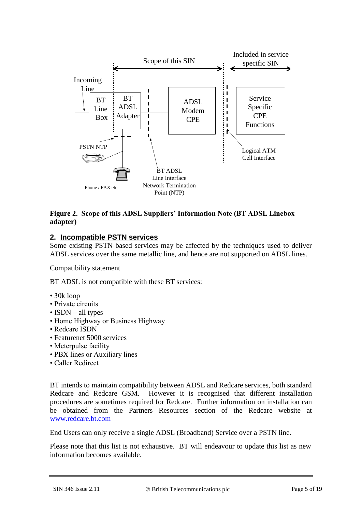

## <span id="page-4-0"></span>**Figure 2. Scope of this ADSL Suppliers' Information Note (BT ADSL Linebox adapter)**

## **2. Incompatible PSTN services**

Some existing PSTN based services may be affected by the techniques used to deliver ADSL services over the same metallic line, and hence are not supported on ADSL lines.

Compatibility statement

BT ADSL is not compatible with these BT services:

- 30k loop
- Private circuits
- ISDN all types
- Home Highway or Business Highway
- Redcare ISDN
- Featurenet 5000 services
- Meterpulse facility
- PBX lines or Auxiliary lines
- Caller Redirect

BT intends to maintain compatibility between ADSL and Redcare services, both standard Redcare and Redcare GSM. However it is recognised that different installation procedures are sometimes required for Redcare. Further information on installation can be obtained from the Partners Resources section of the Redcare website at [www.redcare.bt.com](http://www.redcare.bt.com/)

End Users can only receive a single ADSL (Broadband) Service over a PSTN line.

Please note that this list is not exhaustive. BT will endeavour to update this list as new information becomes available.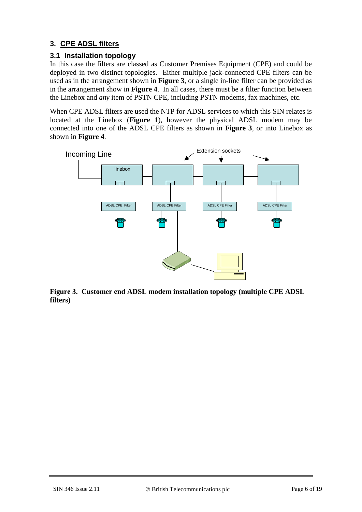# **3. CPE ADSL filters**

## **3.1 Installation topology**

In this case the filters are classed as Customer Premises Equipment (CPE) and could be deployed in two distinct topologies. Either multiple jack-connected CPE filters can be used as in the arrangement shown in **[Figure 3](#page-5-0)**, or a single in-line filter can be provided as in the arrangement show in **[Figure 4](#page-6-0)**. In all cases, there must be a filter function between the Linebox and *any* item of PSTN CPE, including PSTN modems, fax machines, etc.

When CPE ADSL filters are used the NTP for ADSL services to which this SIN relates is located at the Linebox (**[Figure 1](#page-3-0)**), however the physical ADSL modem may be connected into one of the ADSL CPE filters as shown in **[Figure 3](#page-5-0)**, or into Linebox as shown in **[Figure 4](#page-6-0)**.



<span id="page-5-0"></span>**Figure 3. Customer end ADSL modem installation topology (multiple CPE ADSL filters)**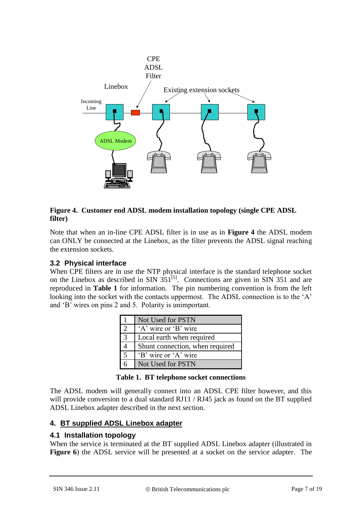

## <span id="page-6-0"></span>**Figure 4. Customer end ADSL modem installation topology (single CPE ADSL filter)**

Note that when an in-line CPE ADSL filter is in use as in **[Figure 4](#page-6-0)** the ADSL modem can ONLY be connected at the Linebox, as the filter prevents the ADSL signal reaching the extension sockets.

## **3.2 Physical interface**

When CPE filters are in use the NTP physical interface is the standard telephone socket on the Linebox as described in SIN  $351^{[5]}$  $351^{[5]}$  $351^{[5]}$ . Connections are given in SIN 351 and are reproduced in **[Table 1](#page-6-1)** for information. The pin numbering convention is from the left looking into the socket with the contacts uppermost. The ADSL connection is to the 'A' and 'B' wires on pins 2 and 5. Polarity is unimportant.

|                | Not Used for PSTN               |
|----------------|---------------------------------|
| $\mathfrak{D}$ | 'A' wire or 'B' wire            |
| 3              | Local earth when required       |
| 4              | Shunt connection, when required |
| 5              | 'B' wire or 'A' wire            |
| б              | Not Used for PSTN               |

<span id="page-6-1"></span>The ADSL modem will generally connect into an ADSL CPE filter however, and this will provide conversion to a dual standard RJ11 / RJ45 jack as found on the BT supplied ADSL Linebox adapter described in the next section.

## **4. BT supplied ADSL Linebox adapter**

## **4.1 Installation topology**

When the service is terminated at the BT supplied ADSL Linebox adapter (illustrated in **[Figure 6](#page-8-0)**) the ADSL service will be presented at a socket on the service adapter. The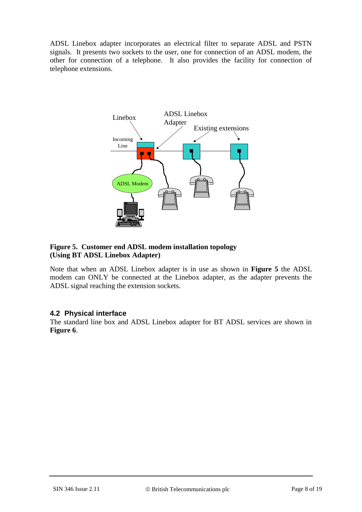ADSL Linebox adapter incorporates an electrical filter to separate ADSL and PSTN signals. It presents two sockets to the user, one for connection of an ADSL modem, the other for connection of a telephone. It also provides the facility for connection of telephone extensions.



#### <span id="page-7-0"></span>**Figure 5. Customer end ADSL modem installation topology (Using BT ADSL Linebox Adapter)**

Note that when an ADSL Linebox adapter is in use as shown in **[Figure 5](#page-7-0)** the ADSL modem can ONLY be connected at the Linebox adapter, as the adapter prevents the ADSL signal reaching the extension sockets.

## **4.2 Physical interface**

The standard line box and ADSL Linebox adapter for BT ADSL services are shown in **[Figure 6](#page-8-0)**.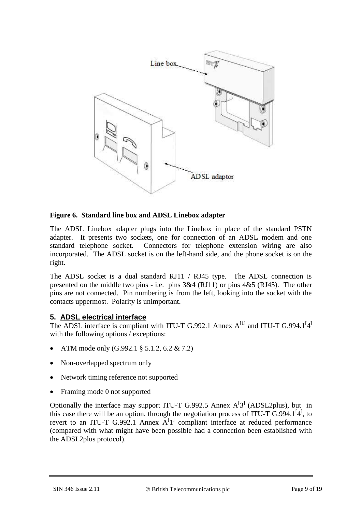

## <span id="page-8-0"></span>**Figure 6. Standard line box and ADSL Linebox adapter**

The ADSL Linebox adapter plugs into the Linebox in place of the standard PSTN adapter. It presents two sockets, one for connection of an ADSL modem and one standard telephone socket. Connectors for telephone extension wiring are also incorporated. The ADSL socket is on the left-hand side, and the phone socket is on the right.

The ADSL socket is a dual standard RJ11 / RJ45 type. The ADSL connection is presented on the middle two pins - i.e. pins 3&4 (RJ11) or pins 4&5 (RJ45). The other pins are not connected. Pin numbering is from the left, looking into the socket with the contacts uppermost. Polarity is unimportant.

## **5. ADSL electrical interface**

The ADSL interface is compliant with ITU-T G.992.1 Annex  $A^{[1]}$  $A^{[1]}$  $A^{[1]}$  and ITU-T G.99[4](#page-17-2).1<sup>[4]</sup> with the following options / exceptions:

- ATM mode only (G.992.1 § 5.1.2, 6.2 & 7.2)
- Non-overlapped spectrum only
- Network timing reference not supported
- Framing mode 0 not supported

Optionally the interface may support ITU-T G.992.5 Annex  $A<sup>[3]</sup>$  $A<sup>[3]</sup>$  $A<sup>[3]</sup>$  (ADSL2plus), but in this case there will be an option, through the negotiation process of ITU-T  $\overline{G}$ .99[4](#page-17-2).1<sup>[4]</sup>, to revert to an ITU-T G.992.[1](#page-17-1) Annex  $A^{[1]}$  compliant interface at reduced performance (compared with what might have been possible had a connection been established with the ADSL2plus protocol).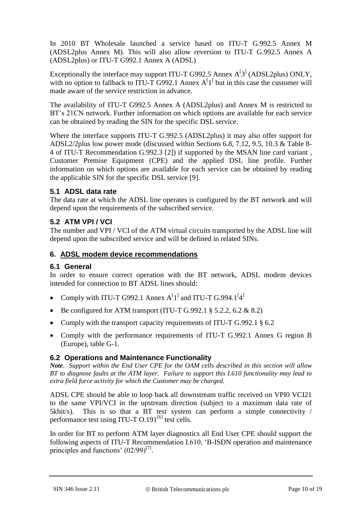In 2010 BT Wholesale launched a service based on ITU-T G.992.5 Annex M (ADSL2plus Annex M). This will also allow reversion to ITU-T G.992.5 Annex A (ADSL2plus) or ITU-T G992.1 Annex A (ADSL)

Exceptionally the interface may support ITU-T G992.5 Annex  $A<sup>[3]</sup>$  $A<sup>[3]</sup>$  $A<sup>[3]</sup>$  (ADSL2plus) ONLY, with no option to fallback to ITU-T G992.[1](#page-17-1) Annex  $A<sup>[1]</sup>$  but in this case the customer will made aware of the service restriction in advance.

The availability of ITU-T G992.5 Annex A (ADSL2plus) and Annex M is restricted to BT's 21CN network. Further information on which options are available for each service can be obtained by reading the SIN for the specific DSL service.

Where the interface supports ITU-T G.992.5 (ADSL2plus) it may also offer support for ADSL2/2plus low power mode (discussed within Sections 6.8, 7.12, 9.5, 10.3 & Table 8- 4 of ITU-T Recommendation G.992.3 [\[2\]](#page-17-4)) if supported by the MSAN line card variant , Customer Premise Equipment (CPE) and the applied DSL line profile. Further information on which options are available for each service can be obtained by reading the applicable SIN for the specific DSL service [9].

## **5.1 ADSL data rate**

The data rate at which the ADSL line operates is configured by the BT network and will depend upon the requirements of the subscribed service.

## **5.2 ATM VPI / VCI**

The number and VPI / VCI of the ATM virtual circuits transported by the ADSL line will depend upon the subscribed service and will be defined in related SINs.

## **6. ADSL modem device recommendations**

## **6.1 General**

In order to ensure correct operation with the BT network, ADSL modem devices intended for connection to BT ADSL lines should:

- Comply with ITU-T G992.[1](#page-17-1) Annex  $A^{[1]}$  and ITU-T G.99[4](#page-17-2).1<sup>[4]</sup>
- Be configured for ATM transport (ITU-T G.992.1  $\S$  5.2.2, 6.2 & 8.2)
- Comply with the transport capacity requirements of ITU-T G.992.1 § 6.2
- Comply with the performance requirements of ITU-T G.992.1 Annex G region B (Europe), table G-1.

## **6.2 Operations and Maintenance Functionality**

*Note. Support within the End User CPE for the OAM cells described in this section will allow BT to diagnose faults at the ATM layer. Failure to support this I.610 functionality may lead to extra field force activity for which the Customer may be charged.* 

ADSL CPE should be able to loop back all downstream traffic received on VPI0 VCI21 to the same VPI/VCI in the upstream direction (subject to a maximum data rate of 5kbit/s). This is so that a BT test system can perform a simple connectivity / performance test using ITU-T O.191<sup>[\[6\]](#page-17-5)</sup> test cells.

In order for BT to perform ATM layer diagnostics all End User CPE should support the following aspects of ITU-T Recommendation I.610, 'B-ISDN operation and maintenance principles and functions'  $(02/99)^{[7]}$  $(02/99)^{[7]}$  $(02/99)^{[7]}$ .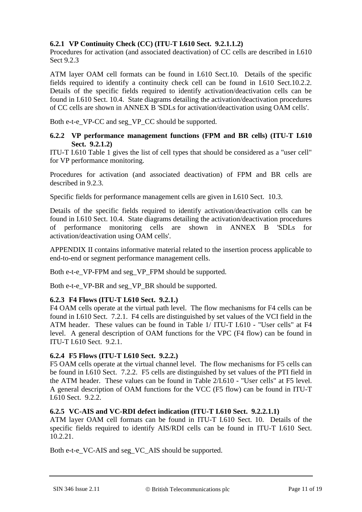## **6.2.1 VP Continuity Check (CC) (ITU-T I.610 Sect. 9.2.1.1.2)**

Procedures for activation (and associated deactivation) of CC cells are described in I.610 Sect 9.2.3

ATM layer OAM cell formats can be found in I.610 Sect.10. Details of the specific fields required to identify a continuity check cell can be found in I.610 Sect.10.2.2. Details of the specific fields required to identify activation/deactivation cells can be found in I.610 Sect. 10.4. State diagrams detailing the activation/deactivation procedures of CC cells are shown in ANNEX B 'SDLs for activation/deactivation using OAM cells'.

Both e-t-e\_VP-CC and seg\_VP\_CC should be supported.

#### **6.2.2 VP performance management functions (FPM and BR cells) (ITU-T I.610 Sect. 9.2.1.2)**

ITU-T I.610 Table 1 gives the list of cell types that should be considered as a "user cell" for VP performance monitoring.

Procedures for activation (and associated deactivation) of FPM and BR cells are described in 9.2.3.

Specific fields for performance management cells are given in I.610 Sect. 10.3.

Details of the specific fields required to identify activation/deactivation cells can be found in I.610 Sect. 10.4. State diagrams detailing the activation/deactivation procedures of performance monitoring cells are shown in ANNEX B 'SDLs for activation/deactivation using OAM cells'.

APPENDIX II contains informative material related to the insertion process applicable to end-to-end or segment performance management cells.

Both e-t-e\_VP-FPM and seg\_VP\_FPM should be supported.

Both e-t-e\_VP-BR and seg\_VP\_BR should be supported.

## **6.2.3 F4 Flows (ITU-T I.610 Sect. 9.2.1.)**

F4 OAM cells operate at the virtual path level. The flow mechanisms for F4 cells can be found in I.610 Sect. 7.2.1. F4 cells are distinguished by set values of the VCI field in the ATM header. These values can be found in Table 1/ ITU-T I.610 - "User cells" at F4 level. A general description of OAM functions for the VPC (F4 flow) can be found in ITU-T I.610 Sect. 9.2.1.

#### **6.2.4 F5 Flows (ITU-T I.610 Sect. 9.2.2.)**

F5 OAM cells operate at the virtual channel level. The flow mechanisms for F5 cells can be found in I.610 Sect. 7.2.2. F5 cells are distinguished by set values of the PTI field in the ATM header. These values can be found in Table 2/I.610 - "User cells" at F5 level. A general description of OAM functions for the VCC (F5 flow) can be found in ITU-T I.610 Sect. 9.2.2.

#### **6.2.5 VC-AIS and VC-RDI defect indication (ITU-T I.610 Sect. 9.2.2.1.1)**

ATM layer OAM cell formats can be found in ITU-T I.610 Sect. 10. Details of the specific fields required to identify AIS/RDI cells can be found in ITU-T I.610 Sect. 10.2.21.

Both e-t-e\_VC-AIS and seg\_VC\_AIS should be supported.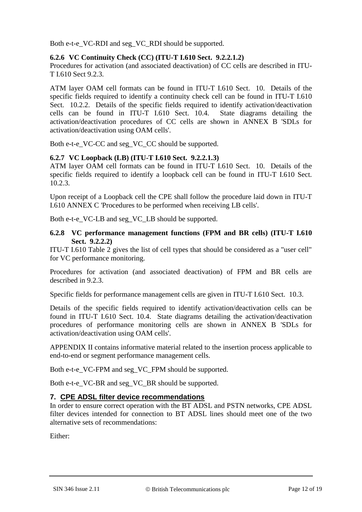Both e-t-e\_VC-RDI and seg\_VC\_RDI should be supported.

#### **6.2.6 VC Continuity Check (CC) (ITU-T I.610 Sect. 9.2.2.1.2)**

Procedures for activation (and associated deactivation) of CC cells are described in ITU-T I.610 Sect 9.2.3.

ATM layer OAM cell formats can be found in ITU-T I.610 Sect. 10. Details of the specific fields required to identify a continuity check cell can be found in ITU-T I.610 Sect. 10.2.2. Details of the specific fields required to identify activation/deactivation cells can be found in ITU-T I.610 Sect. 10.4. State diagrams detailing the activation/deactivation procedures of CC cells are shown in ANNEX B 'SDLs for activation/deactivation using OAM cells'.

Both e-t-e\_VC-CC and seg\_VC\_CC should be supported.

## **6.2.7 VC Loopback (LB) (ITU-T I.610 Sect. 9.2.2.1.3)**

ATM layer OAM cell formats can be found in ITU-T I.610 Sect. 10. Details of the specific fields required to identify a loopback cell can be found in ITU-T I.610 Sect. 10.2.3.

Upon receipt of a Loopback cell the CPE shall follow the procedure laid down in ITU-T I.610 ANNEX C 'Procedures to be performed when receiving LB cells'.

Both e-t-e\_VC-LB and seg\_VC\_LB should be supported.

#### **6.2.8 VC performance management functions (FPM and BR cells) (ITU-T I.610 Sect. 9.2.2.2)**

ITU-T I.610 Table 2 gives the list of cell types that should be considered as a "user cell" for VC performance monitoring.

Procedures for activation (and associated deactivation) of FPM and BR cells are described in 9.2.3.

Specific fields for performance management cells are given in ITU-T I.610 Sect. 10.3.

Details of the specific fields required to identify activation/deactivation cells can be found in ITU-T I.610 Sect. 10.4. State diagrams detailing the activation/deactivation procedures of performance monitoring cells are shown in ANNEX B 'SDLs for activation/deactivation using OAM cells'.

APPENDIX II contains informative material related to the insertion process applicable to end-to-end or segment performance management cells.

Both e-t-e\_VC-FPM and seg\_VC\_FPM should be supported.

Both e-t-e\_VC-BR and seg\_VC\_BR should be supported.

## <span id="page-11-0"></span>**7. CPE ADSL filter device recommendations**

In order to ensure correct operation with the BT ADSL and PSTN networks, CPE ADSL filter devices intended for connection to BT ADSL lines should meet one of the two alternative sets of recommendations:

Either: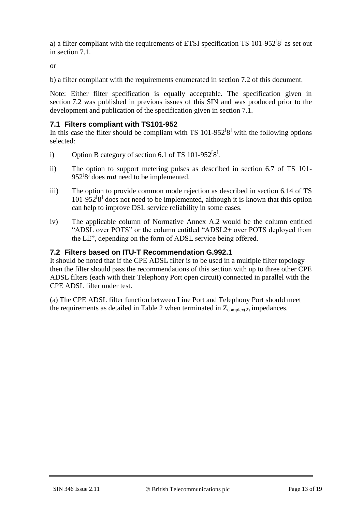a) a filter compliant with the requirements of ETSI specification TS  $101-952^{[8]}$  $101-952^{[8]}$  $101-952^{[8]}$  as set out in section [7.1.](#page-12-0)

or

b) a filter compliant with the requirements enumerated in section [7.2](#page-12-1) of this document.

Note: Either filter specification is equally acceptable. The specification given in section 7.2 was published in previous issues of this SIN and was produced prior to the development and publication of the specification given in section 7.1.

#### <span id="page-12-0"></span>**7.1 Filters compliant with TS101-952**

In this case the filter should be compliant with TS  $101-952^{[8]}$  $101-952^{[8]}$  $101-952^{[8]}$  with the following options selected:

- i) Option B category of section 6.1 of TS 101-952<sup>[[8](#page-17-7)]</sup>.
- ii) The option to support metering pulses as described in section 6.7 of TS 101- 952<sup>[[8](#page-17-7)]</sup> does *not* need to be implemented.
- iii) The option to provide common mode rejection as described in section 6.14 of TS  $101-952^{[8]}$  $101-952^{[8]}$  $101-952^{[8]}$  does not need to be implemented, although it is known that this option can help to improve DSL service reliability in some cases.
- iv) The applicable column of Normative Annex A.2 would be the column entitled "ADSL over POTS" or the column entitled "ADSL2+ over POTS deployed from the LE", depending on the form of ADSL service being offered.

#### <span id="page-12-1"></span>**7.2 Filters based on ITU-T Recommendation G.992.1**

It should be noted that if the CPE ADSL filter is to be used in a multiple filter topology then the filter should pass the recommendations of this section with up to three other CPE ADSL filters (each with their Telephony Port open circuit) connected in parallel with the CPE ADSL filter under test.

(a) The CPE ADSL filter function between Line Port and Telephony Port should meet the requirements as detailed in [Table 2](#page-13-0) when terminated in  $Z_{\text{complex}(2)}$  impedances.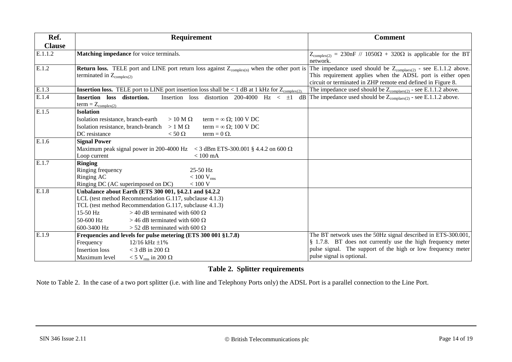| Ref.                 | <b>Requirement</b>                                                                                                                                      | <b>Comment</b>                                                                                                                          |
|----------------------|---------------------------------------------------------------------------------------------------------------------------------------------------------|-----------------------------------------------------------------------------------------------------------------------------------------|
| <b>Clause</b>        |                                                                                                                                                         |                                                                                                                                         |
| $\overline{E.1}.1.2$ | Matching impedance for voice terminals.                                                                                                                 | $Z_{\text{complex}(2)} = 230$ nF // 1050 $\Omega$ + 320 $\Omega$ is applicable for the BT<br>network.                                   |
| E.1.2                | <b>Return loss.</b> TELE port and LINE port return loss against $Z_{\text{complex}(n)}$ when the other port is<br>terminated in $Z_{\text{complex}(2)}$ | The impedance used should be $Z_{\text{complex}(2)}$ - see E.1.1.2 above.<br>This requirement applies when the ADSL port is either open |
|                      |                                                                                                                                                         | circuit or terminated in ZHP remote end defined in Figure 8.                                                                            |
| E.1.3                | <b>Insertion loss.</b> TELE port to LINE port insertion loss shall be $\lt 1$ dB at 1 kHz for $Z_{\text{complex}(2)}$ .                                 | The impedance used should be $Z_{\text{complex}(2)}$ - see E.1.1.2 above.                                                               |
| E.1.4                | Insertion loss distortion.<br>Insertion loss distortion 200-4000 Hz $<$ $\pm 1$<br>dB<br>$term = Z_{complex(2)}$                                        | The impedance used should be $Z_{\text{complex}(2)}$ - see E.1.1.2 above.                                                               |
| E.1.5                | <b>Isolation</b>                                                                                                                                        |                                                                                                                                         |
|                      | Isolation resistance, branch-earth<br>$>10$ M $\Omega$<br>term = $\infty \Omega$ ; 100 V DC                                                             |                                                                                                                                         |
|                      | Isolation resistance, branch-branch $> 1 M \Omega$<br>term = $\infty \Omega$ ; 100 V DC                                                                 |                                                                                                                                         |
|                      | DC resistance<br>term = $0 \Omega$ .<br>$<$ 50 $\Omega$                                                                                                 |                                                                                                                                         |
| E.1.6                | <b>Signal Power</b>                                                                                                                                     |                                                                                                                                         |
|                      | Maximum peak signal power in 200-4000 Hz $\lt$ 3 dBm ETS-300.001 § 4.4.2 on 600 $\Omega$                                                                |                                                                                                                                         |
|                      | Loop current<br>$< 100$ mA                                                                                                                              |                                                                                                                                         |
| E.1.7                | <b>Ringing</b>                                                                                                                                          |                                                                                                                                         |
|                      | 25-50 Hz<br>Ringing frequency                                                                                                                           |                                                                                                                                         |
|                      | Ringing AC<br>$< 100$ V <sub>rms</sub>                                                                                                                  |                                                                                                                                         |
|                      | Ringing DC (AC superimposed on DC)<br>$<100$ V                                                                                                          |                                                                                                                                         |
| E.1.8                | Unbalance about Earth (ETS 300 001, §4.2.1 and §4.2.2                                                                                                   |                                                                                                                                         |
|                      | LCL (test method Recommendation G.117, subclause 4.1.3)                                                                                                 |                                                                                                                                         |
|                      | TCL (test method Recommendation G.117, subclause 4.1.3)                                                                                                 |                                                                                                                                         |
|                      | 15-50 Hz<br>> 40 dB terminated with 600 $\Omega$                                                                                                        |                                                                                                                                         |
|                      | $50-600$ Hz<br>> 46 dB terminated with 600 $\Omega$                                                                                                     |                                                                                                                                         |
|                      | 600-3400 Hz<br>$>$ 52 dB terminated with 600 $\Omega$                                                                                                   |                                                                                                                                         |
| E.1.9                | Frequencies and levels for pulse metering (ETS 300 001 §1.7.8)                                                                                          | The BT network uses the 50Hz signal described in ETS-300.001,                                                                           |
|                      | $12/16$ kHz $\pm 1\%$<br>Frequency                                                                                                                      | § 1.7.8. BT does not currently use the high frequency meter                                                                             |
|                      | <b>Insertion</b> loss<br>< 3 dB in 200 $\Omega$                                                                                                         | pulse signal. The support of the high or low frequency meter<br>pulse signal is optional.                                               |
|                      | Maximum level<br>$<$ 5 V <sub>rms</sub> in 200 $\Omega$                                                                                                 |                                                                                                                                         |

# **Table 2. Splitter requirements**

<span id="page-13-0"></span>Note to Table 2. In the case of a two port splitter (i.e. with line and Telephony Ports only) the ADSL Port is a parallel connection to the Line Port.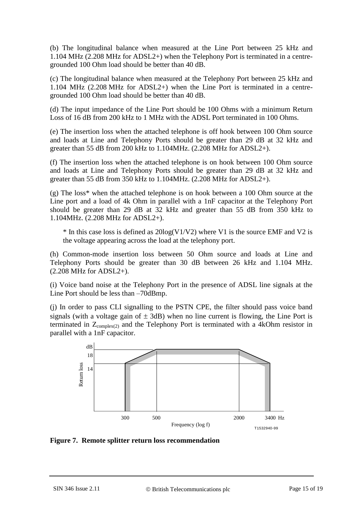(b) The longitudinal balance when measured at the Line Port between 25 kHz and 1.104 MHz (2.208 MHz for ADSL2+) when the Telephony Port is terminated in a centregrounded 100 Ohm load should be better than 40 dB.

(c) The longitudinal balance when measured at the Telephony Port between 25 kHz and 1.104 MHz (2.208 MHz for ADSL2+) when the Line Port is terminated in a centregrounded 100 Ohm load should be better than 40 dB.

(d) The input impedance of the Line Port should be 100 Ohms with a minimum Return Loss of 16 dB from 200 kHz to 1 MHz with the ADSL Port terminated in 100 Ohms.

(e) The insertion loss when the attached telephone is off hook between 100 Ohm source and loads at Line and Telephony Ports should be greater than 29 dB at 32 kHz and greater than 55 dB from 200 kHz to 1.104MHz. (2.208 MHz for ADSL2+).

(f) The insertion loss when the attached telephone is on hook between 100 Ohm source and loads at Line and Telephony Ports should be greater than 29 dB at 32 kHz and greater than 55 dB from 350 kHz to 1.104MHz. (2.208 MHz for ADSL2+).

(g) The loss\* when the attached telephone is on hook between a 100 Ohm source at the Line port and a load of 4k Ohm in parallel with a 1nF capacitor at the Telephony Port should be greater than 29 dB at 32 kHz and greater than 55 dB from 350 kHz to 1.104MHz. (2.208 MHz for ADSL2+).

 $*$  In this case loss is defined as  $20\log(V1/V2)$  where V1 is the source EMF and V2 is the voltage appearing across the load at the telephony port.

(h) Common-mode insertion loss between 50 Ohm source and loads at Line and Telephony Ports should be greater than 30 dB between 26 kHz and 1.104 MHz. (2.208 MHz for ADSL2+).

(i) Voice band noise at the Telephony Port in the presence of ADSL line signals at the Line Port should be less than –70dBmp.

(j) In order to pass CLI signalling to the PSTN CPE, the filter should pass voice band signals (with a voltage gain of  $\pm$  3dB) when no line current is flowing, the Line Port is terminated in  $Z_{\text{complex}(2)}$  and the Telephony Port is terminated with a 4kOhm resistor in parallel with a 1nF capacitor.



**Figure 7. Remote splitter return loss recommendation**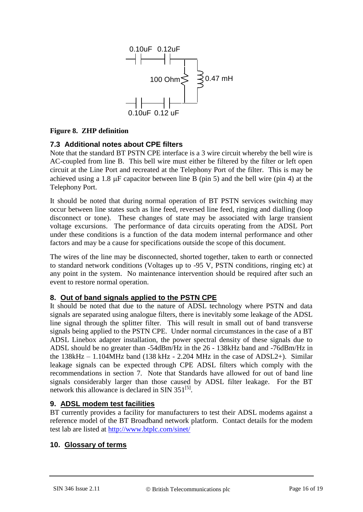<span id="page-15-0"></span>

## **Figure 8. ZHP definition**

## **7.3 Additional notes about CPE filters**

Note that the standard BT PSTN CPE interface is a 3 wire circuit whereby the bell wire is AC-coupled from line B. This bell wire must either be filtered by the filter or left open circuit at the Line Port and recreated at the Telephony Port of the filter. This is may be achieved using a 1.8  $\mu$ F capacitor between line B (pin 5) and the bell wire (pin 4) at the Telephony Port.

It should be noted that during normal operation of BT PSTN services switching may occur between line states such as line feed, reversed line feed, ringing and dialling (loop disconnect or tone). These changes of state may be associated with large transient voltage excursions. The performance of data circuits operating from the ADSL Port under these conditions is a function of the data modem internal performance and other factors and may be a cause for specifications outside the scope of this document.

The wires of the line may be disconnected, shorted together, taken to earth or connected to standard network conditions (Voltages up to -95 V, PSTN conditions, ringing etc) at any point in the system. No maintenance intervention should be required after such an event to restore normal operation.

## **8. Out of band signals applied to the PSTN CPE**

It should be noted that due to the nature of ADSL technology where PSTN and data signals are separated using analogue filters, there is inevitably some leakage of the ADSL line signal through the splitter filter. This will result in small out of band transverse signals being applied to the PSTN CPE. Under normal circumstances in the case of a BT ADSL Linebox adapter installation, the power spectral density of these signals due to ADSL should be no greater than -54dBm/Hz in the 26 - 138kHz band and -76dBm/Hz in the 138kHz – 1.104MHz band (138 kHz - 2.204 MHz in the case of ADSL2+). Similar leakage signals can be expected through CPE ADSL filters which comply with the recommendations in section [7.](#page-11-0) Note that Standards have allowed for out of band line signals considerably larger than those caused by ADSL filter leakage. For the BT network this allowance is declared in SIN  $351^{[5]}$  $351^{[5]}$  $351^{[5]}$ .

## **9. ADSL modem test facilities**

BT currently provides a facility for manufacturers to test their ADSL modems against a reference model of the BT Broadband network platform. Contact details for the modem test lab are listed at<http://www.btplc.com/sinet/>

## **10. Glossary of terms**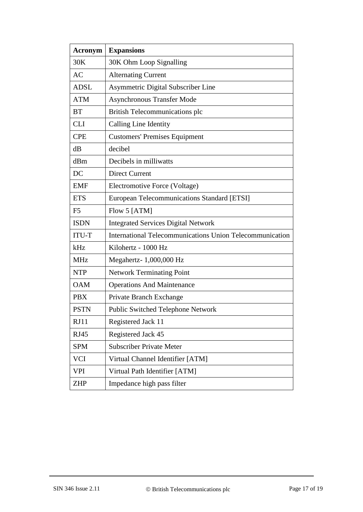| <b>Acronym</b> | <b>Expansions</b>                                        |
|----------------|----------------------------------------------------------|
| 30K            | 30K Ohm Loop Signalling                                  |
| <b>AC</b>      | <b>Alternating Current</b>                               |
| <b>ADSL</b>    | Asymmetric Digital Subscriber Line                       |
| <b>ATM</b>     | <b>Asynchronous Transfer Mode</b>                        |
| <b>BT</b>      | British Telecommunications plc                           |
| <b>CLI</b>     | Calling Line Identity                                    |
| <b>CPE</b>     | <b>Customers' Premises Equipment</b>                     |
| dB             | decibel                                                  |
| dBm            | Decibels in milliwatts                                   |
| DC             | <b>Direct Current</b>                                    |
| <b>EMF</b>     | Electromotive Force (Voltage)                            |
| <b>ETS</b>     | European Telecommunications Standard [ETSI]              |
| F <sub>5</sub> | Flow 5 [ATM]                                             |
| <b>ISDN</b>    | <b>Integrated Services Digital Network</b>               |
| <b>ITU-T</b>   | International Telecommunications Union Telecommunication |
| kHz            | Kilohertz - 1000 Hz                                      |
| <b>MHz</b>     | Megahertz- 1,000,000 Hz                                  |
| <b>NTP</b>     | <b>Network Terminating Point</b>                         |
| <b>OAM</b>     | <b>Operations And Maintenance</b>                        |
| <b>PBX</b>     | Private Branch Exchange                                  |
| <b>PSTN</b>    | Public Switched Telephone Network                        |
| RJ11           | Registered Jack 11                                       |
| <b>RJ45</b>    | Registered Jack 45                                       |
| <b>SPM</b>     | <b>Subscriber Private Meter</b>                          |
| <b>VCI</b>     | Virtual Channel Identifier [ATM]                         |
| VPI            | Virtual Path Identifier [ATM]                            |
| <b>ZHP</b>     | Impedance high pass filter                               |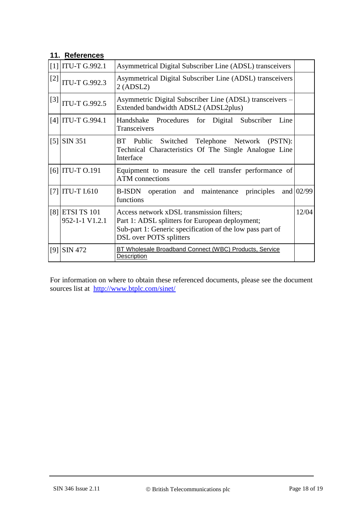# **11. References**

<span id="page-17-8"></span><span id="page-17-5"></span><span id="page-17-4"></span><span id="page-17-3"></span><span id="page-17-2"></span><span id="page-17-1"></span><span id="page-17-0"></span>

| [1]               | <b>ITU-T G.992.1</b>          | Asymmetrical Digital Subscriber Line (ADSL) transceivers                                                                                                                             |           |
|-------------------|-------------------------------|--------------------------------------------------------------------------------------------------------------------------------------------------------------------------------------|-----------|
| $[2]$             | <b>ITU-T G.992.3</b>          | Asymmetrical Digital Subscriber Line (ADSL) transceivers<br>2 (ADSL2)                                                                                                                |           |
| $[3]$             | <b>ITU-T G.992.5</b>          | Asymmetric Digital Subscriber Line (ADSL) transceivers –<br>Extended bandwidth ADSL2 (ADSL2plus)                                                                                     |           |
| [4]               | <b>ITU-T G.994.1</b>          | Handshake Procedures for Digital Subscriber<br>Line<br>Transceivers                                                                                                                  |           |
| $\lceil 5 \rceil$ | <b>SIN 351</b>                | BT Public Switched Telephone Network<br>(PSTN):<br>Technical Characteristics Of The Single Analogue Line<br>Interface                                                                |           |
|                   | $[6]$ ITU-T 0.191             | Equipment to measure the cell transfer performance of<br><b>ATM</b> connections                                                                                                      |           |
| [7]               | <b>ITU-T I.610</b>            | B-ISDN operation and maintenance principles<br>functions                                                                                                                             | and 02/99 |
| [8]               | ETSI TS 101<br>952-1-1 V1.2.1 | Access network xDSL transmission filters;<br>Part 1: ADSL splitters for European deployment;<br>Sub-part 1: Generic specification of the low pass part of<br>DSL over POTS splitters | 12/04     |
| [9]               | <b>SIN 472</b>                | BT Wholesale Broadband Connect (WBC) Products, Service<br>Description                                                                                                                |           |

<span id="page-17-7"></span><span id="page-17-6"></span>For information on where to obtain these referenced documents, please see the document sources list at <http://www.btplc.com/sinet/>